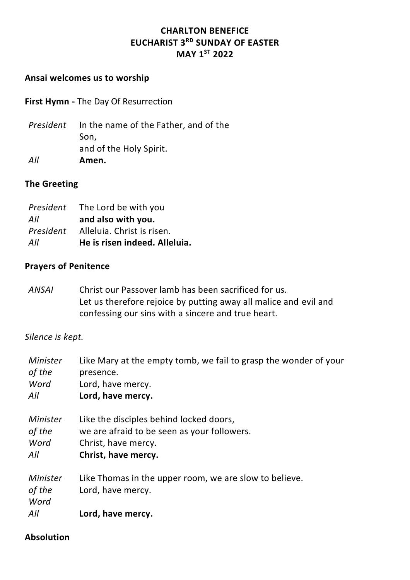# **CHARLTON BENEFICE EUCHARIST 3RD SUNDAY OF EASTER MAY 1ST 2022**

#### **Ansai welcomes us to worship**

**First Hymn -** The Day Of Resurrection

*President* In the name of the Father, and of the Son, and of the Holy Spirit. *All* **Amen.**

#### **The Greeting**

|           | <i>President</i> The Lord be with you |
|-----------|---------------------------------------|
| All       | and also with you.                    |
| President | Alleluia. Christ is risen.            |
| All       | He is risen indeed. Alleluia.         |

#### **Prayers of Penitence**

*ANSAI* Christ our Passover lamb has been sacrificed for us. Let us therefore rejoice by putting away all malice and evil and confessing our sins with a sincere and true heart.

#### *Silence is kept.*

| Minister | Like Mary at the empty tomb, we fail to grasp the wonder of your |
|----------|------------------------------------------------------------------|
| of the   | presence.                                                        |
| Word     | Lord, have mercy.                                                |
| All      | Lord, have mercy.                                                |
| Minister | Like the disciples behind locked doors,                          |
| of the   | we are afraid to be seen as your followers.                      |
| Word     | Christ, have mercy.                                              |
| All      | Christ, have mercy.                                              |
| Minister | Like Thomas in the upper room, we are slow to believe.           |
| of the   | Lord, have mercy.                                                |
| Word     |                                                                  |
| All      | Lord, have mercy.                                                |

#### **Absolution**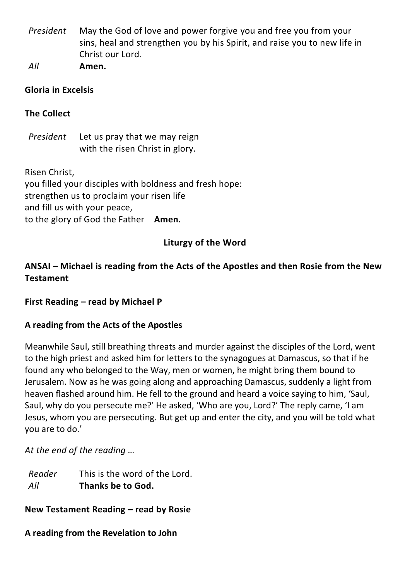*President* May the God of love and power forgive you and free you from your sins, heal and strengthen you by his Spirit, and raise you to new life in Christ our Lord.

*All* **Amen.**

## **Gloria in Excelsis**

# **The Collect**

*President* Let us pray that we may reign with the risen Christ in glory.

Risen Christ, you filled your disciples with boldness and fresh hope: strengthen us to proclaim your risen life and fill us with your peace, to the glory of God the Father**Amen***.*

# **Liturgy of the Word**

# **ANSAI – Michael is reading from the Acts of the Apostles and then Rosie from the New Testament**

## **First Reading – read by Michael P**

## **A reading from the Acts of the Apostles**

Meanwhile Saul, still breathing threats and murder against the disciples of the Lord, went to the high priest and asked him for letters to the synagogues at Damascus, so that if he found any who belonged to the Way, men or women, he might bring them bound to Jerusalem. Now as he was going along and approaching Damascus, suddenly a light from heaven flashed around him. He fell to the ground and heard a voice saying to him, 'Saul, Saul, why do you persecute me?' He asked, 'Who are you, Lord?' The reply came, 'I am Jesus, whom you are persecuting. But get up and enter the city, and you will be told what you are to do.'

*At the end of the reading …*

*Reader All* This is the word of the Lord. **Thanks be to God.**

**New Testament Reading – read by Rosie**

**A reading from the Revelation to John**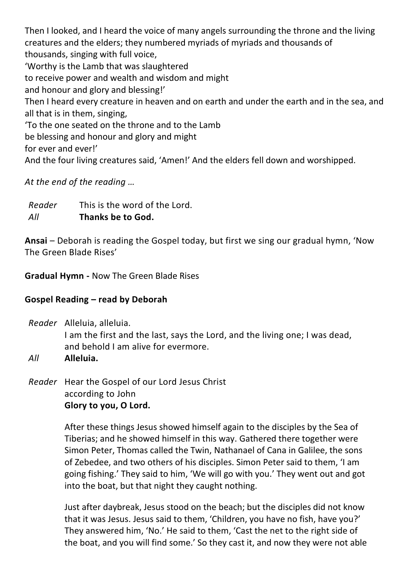Then I looked, and I heard the voice of many angels surrounding the throne and the living creatures and the elders; they numbered myriads of myriads and thousands of thousands, singing with full voice, 'Worthy is the Lamb that was slaughtered to receive power and wealth and wisdom and might and honour and glory and blessing!' Then I heard every creature in heaven and on earth and under the earth and in the sea, and all that is in them, singing, 'To the one seated on the throne and to the Lamb be blessing and honour and glory and might for ever and ever!'

And the four living creatures said, 'Amen!' And the elders fell down and worshipped.

*At the end of the reading …*

*Reader All* This is the word of the Lord. **Thanks be to God.**

**Ansai** – Deborah is reading the Gospel today, but first we sing our gradual hymn, 'Now The Green Blade Rises'

**Gradual Hymn -** Now The Green Blade Rises

# **Gospel Reading – read by Deborah**

*Reader* Alleluia, alleluia. I am the first and the last, says the Lord, and the living one; I was dead, and behold I am alive for evermore.

*All* **Alleluia.**

*Reader* Hear the Gospel of our Lord Jesus Christ according to John **Glory to you, O Lord.**

> After these things Jesus showed himself again to the disciples by the Sea of Tiberias; and he showed himself in this way. Gathered there together were Simon Peter, Thomas called the Twin, Nathanael of Cana in Galilee, the sons of Zebedee, and two others of his disciples. Simon Peter said to them, 'I am going fishing.' They said to him, 'We will go with you.' They went out and got into the boat, but that night they caught nothing.

> Just after daybreak, Jesus stood on the beach; but the disciples did not know that it was Jesus. Jesus said to them, 'Children, you have no fish, have you?' They answered him, 'No.' He said to them, 'Cast the net to the right side of the boat, and you will find some.' So they cast it, and now they were not able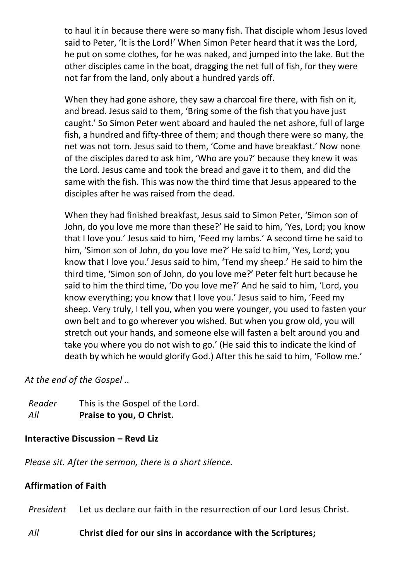to haul it in because there were so many fish. That disciple whom Jesus loved said to Peter, 'It is the Lord!' When Simon Peter heard that it was the Lord, he put on some clothes, for he was naked, and jumped into the lake. But the other disciples came in the boat, dragging the net full of fish, for they were not far from the land, only about a hundred yards off.

When they had gone ashore, they saw a charcoal fire there, with fish on it, and bread. Jesus said to them, 'Bring some of the fish that you have just caught.' So Simon Peter went aboard and hauled the net ashore, full of large fish, a hundred and fifty-three of them; and though there were so many, the net was not torn. Jesus said to them, 'Come and have breakfast.' Now none of the disciples dared to ask him, 'Who are you?' because they knew it was the Lord. Jesus came and took the bread and gave it to them, and did the same with the fish. This was now the third time that Jesus appeared to the disciples after he was raised from the dead.

When they had finished breakfast, Jesus said to Simon Peter, 'Simon son of John, do you love me more than these?' He said to him, 'Yes, Lord; you know that I love you.' Jesus said to him, 'Feed my lambs.' A second time he said to him, 'Simon son of John, do you love me?' He said to him, 'Yes, Lord; you know that I love you.' Jesus said to him, 'Tend my sheep.' He said to him the third time, 'Simon son of John, do you love me?' Peter felt hurt because he said to him the third time, 'Do you love me?' And he said to him, 'Lord, you know everything; you know that I love you.' Jesus said to him, 'Feed my sheep. Very truly, I tell you, when you were younger, you used to fasten your own belt and to go wherever you wished. But when you grow old, you will stretch out your hands, and someone else will fasten a belt around you and take you where you do not wish to go.' (He said this to indicate the kind of death by which he would glorify God.) After this he said to him, 'Follow me.'

*At the end of the Gospel ..*

*Reader* This is the Gospel of the Lord. *All* **Praise to you, O Christ.**

# **Interactive Discussion – Revd Liz**

*Please sit. After the sermon, there is a short silence.*

# **Affirmation of Faith**

*President* Let us declare our faith in the resurrection of our Lord Jesus Christ.

## *All* **Christ died for our sins in accordance with the Scriptures;**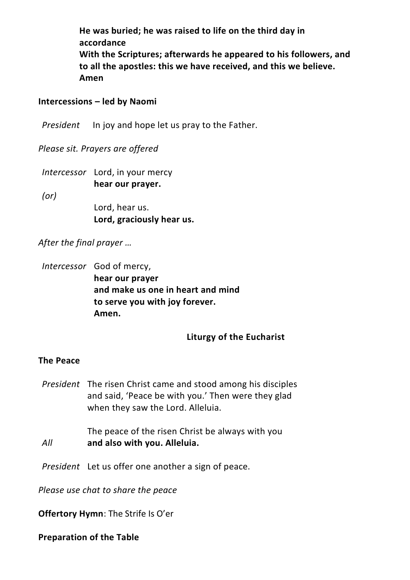**He was buried; he was raised to life on the third day in accordance With the Scriptures; afterwards he appeared to his followers, and to all the apostles: this we have received, and this we believe. Amen**

#### **Intercessions – led by Naomi**

*President* In joy and hope let us pray to the Father.

*Please sit. Prayers are offered* 

*Intercessor* Lord, in your mercy **hear our prayer.**

*(or)*

Lord, hear us. **Lord, graciously hear us.**

*After the final prayer …*

*Intercessor* God of mercy, **hear our prayer and make us one in heart and mind to serve you with joy forever. Amen.**

#### **Liturgy of the Eucharist**

#### **The Peace**

*President* The risen Christ came and stood among his disciples and said, 'Peace be with you.' Then were they glad when they saw the Lord. Alleluia.

The peace of the risen Christ be always with you *All* **and also with you. Alleluia.**

*President* Let us offer one another a sign of peace.

*Please use chat to share the peace*

**Offertory Hymn**: The Strife Is O'er

**Preparation of the Table**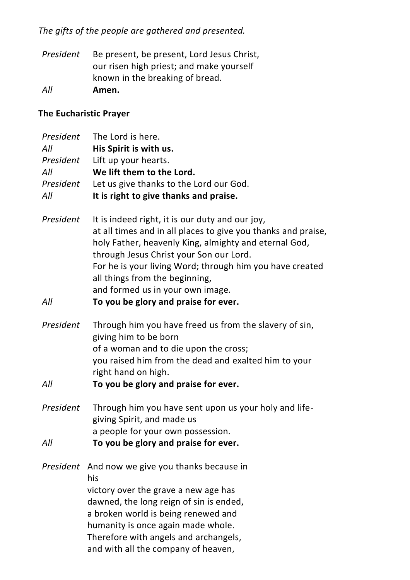# *The gifts of the people are gathered and presented.*

*President* Be present, be present, Lord Jesus Christ, our risen high priest; and make yourself known in the breaking of bread. *All* **Amen.**

# **The Eucharistic Prayer**

| President | The Lord is here.                                             |
|-----------|---------------------------------------------------------------|
| All       | His Spirit is with us.                                        |
| President | Lift up your hearts.                                          |
| All       | We lift them to the Lord.                                     |
| President | Let us give thanks to the Lord our God.                       |
| All       | It is right to give thanks and praise.                        |
|           |                                                               |
| President | It is indeed right, it is our duty and our joy,               |
|           | at all times and in all places to give you thanks and praise, |
|           | holy Father, heavenly King, almighty and eternal God,         |
|           | through Jesus Christ your Son our Lord.                       |
|           | For he is your living Word; through him you have created      |
|           | all things from the beginning,                                |
|           | and formed us in your own image.                              |
| All       | To you be glory and praise for ever.                          |
|           |                                                               |
| President | Through him you have freed us from the slavery of sin,        |
|           | giving him to be born                                         |
|           | of a woman and to die upon the cross;                         |
|           | you raised him from the dead and exalted him to your          |
|           | right hand on high.                                           |
| All       | To you be glory and praise for ever.                          |
|           |                                                               |
| President | Through him you have sent upon us your holy and life-         |
|           | giving Spirit, and made us                                    |
|           | a people for your own possession.                             |
| All       | To you be glory and praise for ever.                          |
|           |                                                               |
|           | President And now we give you thanks because in               |
|           | his                                                           |
|           | victory over the grave a new age has                          |
|           | dawned, the long reign of sin is ended,                       |
|           | a broken world is being renewed and                           |
|           | humanity is once again made whole.                            |
|           | Therefore with angels and archangels,                         |
|           | and with all the company of heaven,                           |
|           |                                                               |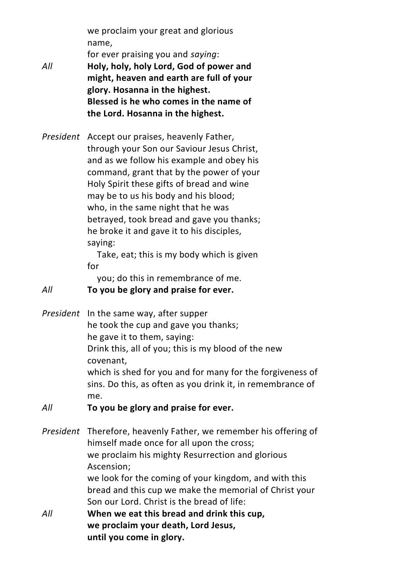we proclaim your great and glorious name,

for ever praising you and *saying*:

- *All* **Holy, holy, holy Lord, God of power and might, heaven and earth are full of your glory. Hosanna in the highest. Blessed is he who comes in the name of the Lord. Hosanna in the highest.**
- *President* Accept our praises, heavenly Father, through your Son our Saviour Jesus Christ, and as we follow his example and obey his command, grant that by the power of your Holy Spirit these gifts of bread and wine may be to us his body and his blood; who, in the same night that he was betrayed, took bread and gave you thanks; he broke it and gave it to his disciples, saying:

Take, eat; this is my body which is given for

you; do this in remembrance of me.

*All* **To you be glory and praise for ever.**

- *President* In the same way, after supper he took the cup and gave you thanks; he gave it to them, saying: Drink this, all of you; this is my blood of the new covenant, which is shed for you and for many for the forgiveness of sins. Do this, as often as you drink it, in remembrance of me.
- *All* **To you be glory and praise for ever.**

*President* Therefore, heavenly Father, we remember his offering of himself made once for all upon the cross; we proclaim his mighty Resurrection and glorious Ascension; we look for the coming of your kingdom, and with this bread and this cup we make the memorial of Christ your Son our Lord. Christ is the bread of life: *All* **When we eat this bread and drink this cup, we proclaim your death, Lord Jesus,**

**until you come in glory.**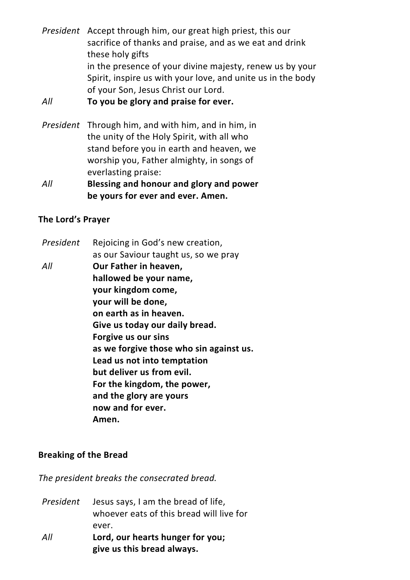*President* Accept through him, our great high priest, this our sacrifice of thanks and praise, and as we eat and drink these holy gifts in the presence of your divine majesty, renew us by your Spirit, inspire us with your love, and unite us in the body of your Son, Jesus Christ our Lord.

#### *All* **To you be glory and praise for ever.**

- *President* Through him, and with him, and in him, in the unity of the Holy Spirit, with all who stand before you in earth and heaven, we worship you, Father almighty, in songs of everlasting praise:
- *All* **Blessing and honour and glory and power be yours for ever and ever. Amen.**

#### **The Lord's Prayer**

- *President* Rejoicing in God's new creation, as our Saviour taught us, so we pray
- *All* **Our Father in heaven, hallowed be your name, your kingdom come, your will be done, on earth as in heaven. Give us today our daily bread. Forgive us our sins as we forgive those who sin against us. Lead us not into temptation but deliver us from evil. For the kingdom, the power, and the glory are yours now and for ever. Amen.**

## **Breaking of the Bread**

*The president breaks the consecrated bread.*

- *President* Jesus says, I am the bread of life, whoever eats of this bread will live for ever.
- *All* **Lord, our hearts hunger for you; give us this bread always.**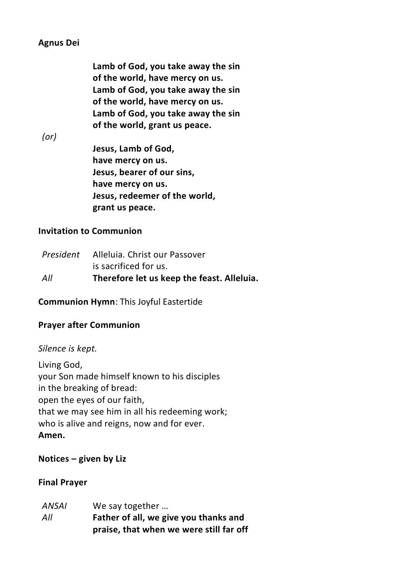## **Agnus Dei**

**Lamb of God, you take away the sin of the world, have mercy on us. Lamb of God, you take away the sin of the world, have mercy on us. Lamb of God, you take away the sin of the world, grant us peace.**

*(or)*

**Jesus, Lamb of God, have mercy on us. Jesus, bearer of our sins, have mercy on us. Jesus, redeemer of the world, grant us peace.**

## **Invitation to Communion**

|     | <i>President</i> Alleluia. Christ our Passover |
|-----|------------------------------------------------|
|     | is sacrificed for us.                          |
| All | Therefore let us keep the feast. Alleluia.     |

**Communion Hymn**: This Joyful Eastertide

# **Prayer after Communion**

## *Silence is kept.*

Living God, your Son made himself known to his disciples in the breaking of bread: open the eyes of our faith, that we may see him in all his redeeming work; who is alive and reigns, now and for ever. **Amen.**

## **Notices – given by Liz**

## **Final Prayer**

| <b>ANSAI</b> | We say together                         |
|--------------|-----------------------------------------|
| All          | Father of all, we give you thanks and   |
|              | praise, that when we were still far off |